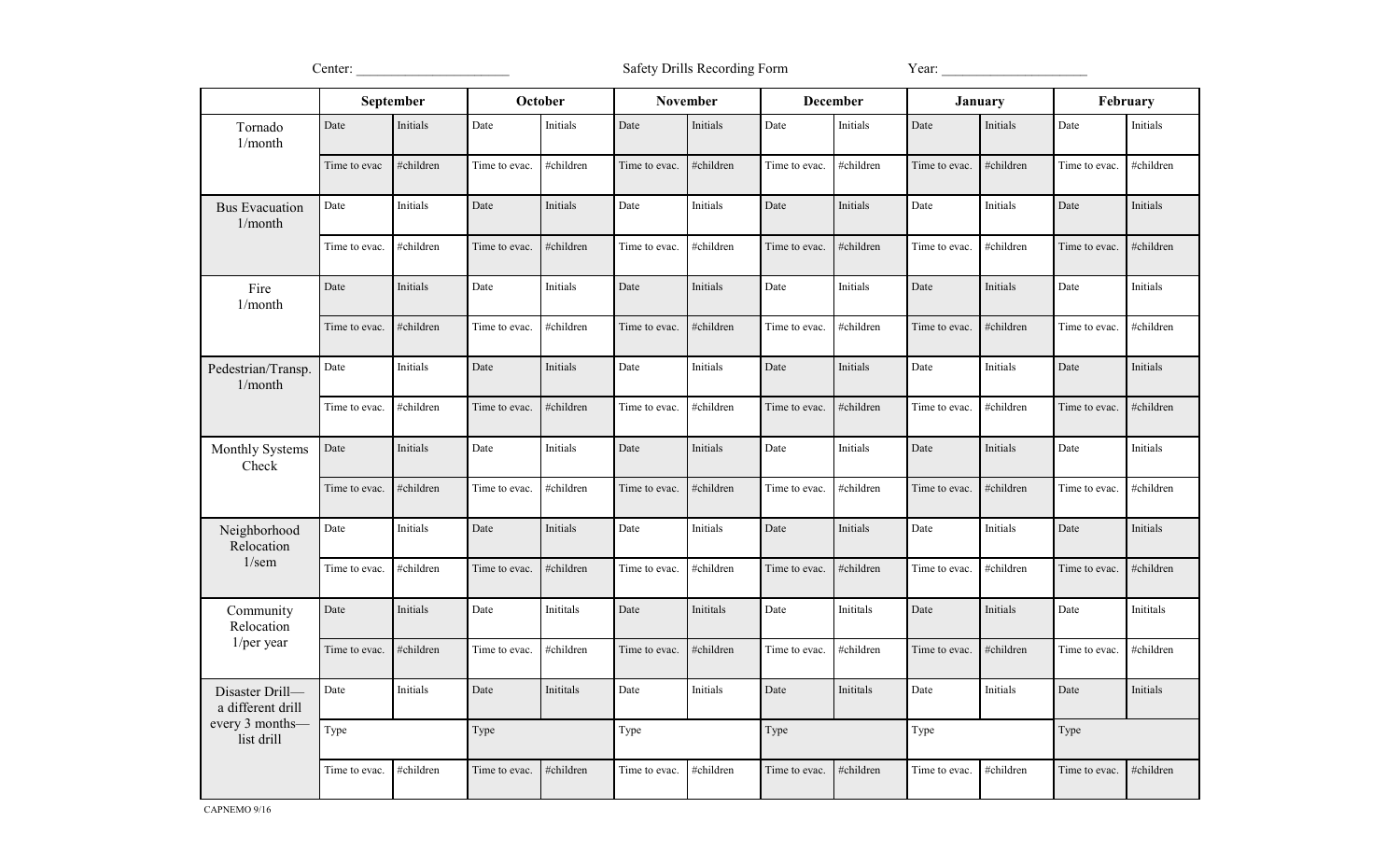Center: \_\_\_\_\_\_\_\_\_\_\_\_\_\_\_\_\_\_\_\_\_\_ Safety Drills Recording Form Year: \_\_\_\_\_\_\_\_\_\_\_\_\_\_\_\_\_\_\_\_\_

|                                                                       | September     |           | October       |           | <b>November</b> |           | <b>December</b> |           | January       |           | February      |           |
|-----------------------------------------------------------------------|---------------|-----------|---------------|-----------|-----------------|-----------|-----------------|-----------|---------------|-----------|---------------|-----------|
| Tornado<br>1/month                                                    | Date          | Initials  | Date          | Initials  | Date            | Initials  | Date            | Initials  | Date          | Initials  | Date          | Initials  |
|                                                                       | Time to evac  | #children | Time to evac. | #children | Time to evac.   | #children | Time to evac.   | #children | Time to evac. | #children | Time to evac. | #children |
| <b>Bus Evacuation</b><br>1/month                                      | Date          | Initials  | Date          | Initials  | Date            | Initials  | Date            | Initials  | Date          | Initials  | Date          | Initials  |
|                                                                       | Time to evac. | #children | Time to evac. | #children | Time to evac.   | #children | Time to evac.   | #children | Time to evac. | #children | Time to evac. | #children |
| Fire<br>1/month                                                       | Date          | Initials  | Date          | Initials  | Date            | Initials  | Date            | Initials  | Date          | Initials  | Date          | Initials  |
|                                                                       | Time to evac. | #children | Time to evac. | #children | Time to evac.   | #children | Time to evac.   | #children | Time to evac. | #children | Time to evac. | #children |
| Pedestrian/Transp.<br>1/month                                         | Date          | Initials  | Date          | Initials  | Date            | Initials  | Date            | Initials  | Date          | Initials  | Date          | Initials  |
|                                                                       | Time to evac. | #children | Time to evac. | #children | Time to evac.   | #children | Time to evac.   | #children | Time to evac. | #children | Time to evac. | #children |
| Monthly Systems<br>Check                                              | Date          | Initials  | Date          | Initials  | Date            | Initials  | Date            | Initials  | Date          | Initials  | Date          | Initials  |
|                                                                       | Time to evac. | #children | Time to evac. | #children | Time to evac.   | #children | Time to evac.   | #children | Time to evac. | #children | Time to evac. | #children |
| Neighborhood<br>Relocation<br>$1/\text{sem}$                          | Date          | Initials  | Date          | Initials  | Date            | Initials  | Date            | Initials  | Date          | Initials  | Date          | Initials  |
|                                                                       | Time to evac. | #children | Time to evac. | #children | Time to evac.   | #children | Time to evac.   | #children | Time to evac. | #children | Time to evac. | #children |
| Community<br>Relocation<br>$1/per$ year                               | Date          | Initials  | Date          | Inititals | Date            | Inititals | Date            | Inititals | Date          | Initials  | Date          | Inititals |
|                                                                       | Time to evac. | #children | Time to evac. | #children | Time to evac.   | #children | Time to evac.   | #children | Time to evac. | #children | Time to evac. | #children |
| Disaster Drill-<br>a different drill<br>every 3 months-<br>list drill | Date          | Initials  | Date          | Inititals | Date            | Initials  | Date            | Inititals | Date          | Initials  | Date          | Initials  |
|                                                                       | Type          |           | Type          |           | Type            |           | Type            |           | Type          |           | Type          |           |
|                                                                       | Time to evac. | #children | Time to evac. | #children | Time to evac.   | #children | Time to evac.   | #children | Time to evac. | #children | Time to evac. | #children |